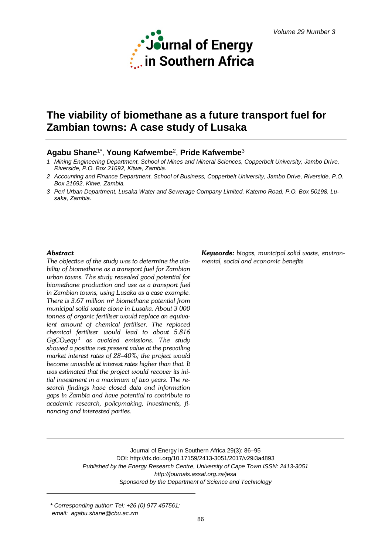

# **The viability of biomethane as a future transport fuel for Zambian towns: A case study of Lusaka**

# **Agabu Shane**1\* , **Young Kafwembe**2, **Pride Kafwembe**<sup>3</sup>

- *1 Mining Engineering Department, School of Mines and Mineral Sciences, Copperbelt University, Jambo Drive, Riverside, P.O. Box 21692, Kitwe, Zambia.*
- *2 Accounting and Finance Department, School of Business, Copperbelt University, Jambo Drive, Riverside, P.O. Box 21692, Kitwe, Zambia.*
- *3 Peri Urban Department, Lusaka Water and Sewerage Company Limited, Katemo Road, P.O. Box 50198, Lusaka, Zambia.*

#### *Abstract*

*The objective of the study was to determine the viability of biomethane as a transport fuel for Zambian urban towns. The study revealed good potential for biomethane production and use as a transport fuel in Zambian towns, using Lusaka as a case example. There is 3.67 million m3 biomethane potential from municipal solid waste alone in Lusaka. About 3 000 tonnes of organic fertiliser would replace an equivalent amount of chemical fertiliser. The replaced chemical fertiliser would lead to about 5.816 GgCO2eqy-1 as avoided emissions. The study showed a positive net present value at the prevailing market interest rates of 28–40%; the project would become unviable at interest rates higher than that. It was estimated that the project would recover its initial investment in a maximum of two years. The research findings have closed data and information gaps in Zambia and have potential to contribute to academic research, policymaking, investments, financing and interested parties.*

*Keywords: biogas, municipal solid waste, environmental, social and economic benefits*

Journal of Energy in Southern Africa 29(3): 86–95 DOI: http://dx.doi.org/10.17159/2413-3051/2017/v29i3a4893 *Published by the Energy Research Centre, University of Cape Town ISSN: 2413-3051 http://journals.assaf.org.za/jesa Sponsored by the Department of Science and Technology*

*\* Corresponding author: Tel: +26 (0) 977 457561; email: agabu.shane@cbu.ac.zm*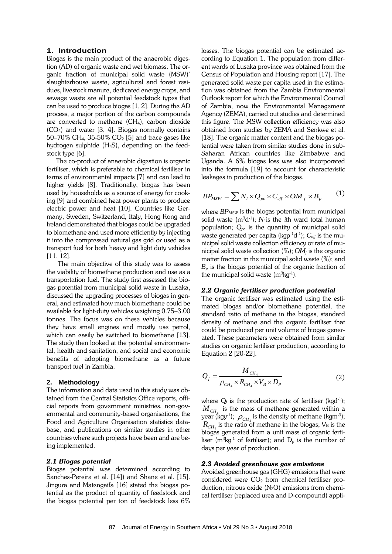# **1. Introduction**

Biogas is the main product of the anaerobic digestion (AD) of organic waste and wet biomass. The organic fraction of municipal solid waste (MSW)' slaughterhouse waste, agricultural and forest residues, livestock manure, dedicated energy crops, and sewage waste are all potential feedstock types that can be used to produce biogas [1, 2]. During the AD process, a major portion of the carbon compounds are converted to methane (CH4), carbon dioxide  $(CO<sub>2</sub>)$  and water [3, 4]. Biogas normally contains 50–70% CH<sub>4</sub>, 35-50% CO<sub>2</sub> [5] and trace gases like hydrogen sulphide  $(H_2S)$ , depending on the feedstock type [6].

The co-product of anaerobic digestion is organic fertiliser, which is preferable to chemical fertiliser in terms of environmental impacts [7] and can lead to higher yields [8]. Traditionally, biogas has been used by households as a source of energy for cooking [9] and combined heat power plants to produce electric power and heat [10]. Countries like Germany, Sweden, Switzerland, Italy, Hong Kong and Ireland demonstrated that biogas could be upgraded to biomethane and used more efficiently by injecting it into the compressed natural gas grid or used as a transport fuel for both heavy and light duty vehicles [11, 12].

The main objective of this study was to assess the viability of biomethane production and use as a transportation fuel. The study first assessed the biogas potential from municipal solid waste in Lusaka, discussed the upgrading processes of biogas in general, and estimated how much biomethane could be available for light-duty vehicles weighing 0.75–3.00 tonnes. The focus was on these vehicles because they have small engines and mostly use petrol, which can easily be switched to biomethane [13]. The study then looked at the potential environmental, health and sanitation, and social and economic benefits of adopting biomethane as a future transport fuel in Zambia.

#### **2. Methodology**

The information and data used in this study was obtained from the Central Statistics Office reports, official reports from government ministries, non-governmental and community-based organisations, the Food and Agriculture Organisation statistics database, and publications on similar studies in other countries where such projects have been and are being implemented.

#### *2.1 Biogas potential*

Biogas potential was determined according to Sanches-Pereira et al. [14]) and Shane et al. [15]. Jingura and Matengaifa [16] stated the biogas potential as the product of quantity of feedstock and the biogas potential per ton of feedstock less 6%

losses. The biogas potential can be estimated according to Equation 1. The population from different wards of Lusaka province was obtained from the Census of Population and Housing report [17]. The generated solid waste per capita used in the estimation was obtained from the Zambia Environmental Outlook report for which the Environmental Council of Zambia, now the Environmental Management Agency (ZEMA), carried out studies and determined this figure. The MSW collection efficiency was also obtained from studies by ZEMA and Senkwe et al. [18]. The organic matter content and the biogas potential were taken from similar studies done in sub-Saharan African countries like Zimbabwe and Uganda. A 6% biogas loss was also incorporated into the formula [19] to account for characteristic leakages in production of the biogas.

$$
BP_{MSW} = \sum N_i \times Q_{pc} \times C_{eff} \times OM_f \times B_p \qquad (1)
$$

where *BP<sub>MSW</sub>* is the biogas potential from municipal solid waste  $(m^3d^1)$ ;  $N_i$  is the *i*th ward total human population; *Qpc* is the quantity of municipal solid waste generated per capita (kgp-1 d-1 ); *Ceff* is the municipal solid waste collection efficiency or rate of municipal solid waste collection  $(\%)$ ;  $OM_f$  is the organic matter fraction in the municipal solid waste (%); and *Bp* is the biogas potential of the organic fraction of the municipal solid waste  $(m^3kg^1)$ .

#### *2.2 Organic fertiliser production potential*

The organic fertiliser was estimated using the estimated biogas and/or biomethane potential, the standard ratio of methane in the biogas, standard density of methane and the organic fertiliser that could be produced per unit volume of biogas generated. These parameters were obtained from similar studies on organic fertiliser production, according to Equation 2 [20-22].

$$
Q_f = \frac{M_{CH_4}}{\rho_{CH_4} \times R_{CH_4} \times V_B \times D_P}
$$
 (2)

where  $Q_f$  is the production rate of fertiliser (kgd $^{-1}$ );  $M_{CH_4}$  is the mass of methane generated within a year (kgy<sup>-1</sup>);  $\rho_{CH_4}$  is the density of methane (kgm<sup>-3</sup>);  $R_{CH_4}$  is the ratio of methane in the biogas; V<sub>B</sub> is the biogas generated from a unit mass of organic fertiliser (m<sup>3</sup>kg<sup>-1</sup> of fertiliser); and  $D_p$  is the number of days per year of production.

# *2.3 Avoided greenhouse gas emissions*

Avoided greenhouse gas (GHG) emissions that were considered were  $CO<sub>2</sub>$  from chemical fertiliser production, nitrous oxide  $(N_2O)$  emissions from chemical fertiliser (replaced urea and D-compound) appli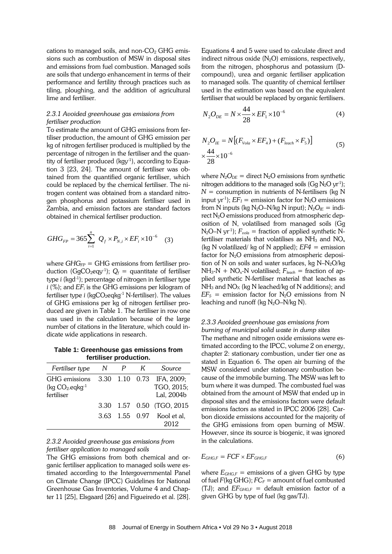cations to managed soils, and non- $CO<sub>2</sub>$  GHG emissions such as combustion of MSW in disposal sites and emissions from fuel combustion. Managed soils are soils that undergo enhancement in terms of their performance and fertility through practices such as tiling, ploughing, and the addition of agricultural lime and fertiliser.

### *2.3.1 Avoided greenhouse gas emissions from fertiliser production*

To estimate the amount of GHG emissions from fertiliser production, the amount of GHG emission per kg of nitrogen fertiliser produced is multiplied by the percentage of nitrogen in the fertiliser and the quantity of fertiliser produced (kgy-1 ), according to Equation 3 [23, 24]. The amount of fertiliser was obtained from the quantified organic fertiliser, which could be replaced by the chemical fertiliser. The nitrogen content was obtained from a standard nitrogen phosphorus and potassium fertiliser used in Zambia, and emission factors are standard factors obtained in chemical fertiliser production.

$$
GHG_{FP} = 365 \sum_{i=1}^{n} Q_{f} \times P_{N,i} \times EF_{i} \times 10^{-6}
$$
 (3)

where  $GHG_{FP} = GHG$  emissions from fertiliser production (GgCO<sub>2</sub>eqy<sup>-1</sup>);  $Q_f =$  quantitate of fertiliser type *i* (kgd-1 ); percentage of nitrogen in fertiliser type *i* (%); and *EFi* is the GHG emissions per kilogram of fertiliser type *i* (kgCO<sub>2</sub>eqkg<sup>-1</sup> N-fertiliser). The values of GHG emissions per kg of nitrogen fertiliser produced are given in Table 1. The fertiliser in row one was used in the calculation because of the large number of citations in the literature, which could indicate wide applications in research.

**Table 1: Greenhouse gas emissions from fertiliser production.**

| Fertiliser type                                 | N |                | K | Source                                 |
|-------------------------------------------------|---|----------------|---|----------------------------------------|
| GHG emissions<br>$(kq CO2.eqkg-1$<br>fertiliser |   | 3.30 1.10 0.73 |   | IFA, 2009;<br>TGO, 2015;<br>Lal, 2004b |
|                                                 |   |                |   | 3.30 1.57 0.50 (TGO, 2015)             |
|                                                 |   |                |   | 3.63 1.55 0.97 Kool et al,<br>2012     |

# *2.3.2 Avoided greenhouse gas emissions from fertiliser application to managed soils*

The GHG emissions from both chemical and organic fertiliser application to managed soils were estimated according to the Intergovernmental Panel on Climate Change (IPCC) Guidelines for National Greenhouse Gas Inventories, Volume 4 and Chapter 11 [25], Elsgaard [26] and Figueiredo et al. [28].

Equations 4 and 5 were used to calculate direct and indirect nitrous oxide  $(N_2O)$  emissions, respectively, from the nitrogen, phosphorus and potassium (Dcompound), urea and organic fertiliser application to managed soils. The quantity of chemical fertiliser used in the estimation was based on the equivalent fertiliser that would be replaced by organic fertilisers.

$$
N_2 O_{DE} = N \times \frac{44}{28} \times EF_1 \times 10^{-6}
$$
 (4)

$$
N_2 O_{IE} = N \left[ (F_{\text{Vol}a} \times EF_4) + (F_{\text{leach}} \times F_5) \right]
$$
  

$$
\times \frac{44}{28} \times 10^{-6}
$$
 (5)

where  $N_2O_{DE}$  = direct  $N_2O$  emissions from synthetic nitrogen additions to the managed soils (Gg  $N_2O$  yr<sup>1</sup>);  $N =$  consumption in nutrients of N-fertilisers (kg N input yr<sup>-1</sup>);  $EF_1$  = emission factor for N<sub>2</sub>O emissions from N inputs (kg  $N_2O-N/kg$  N input);  $N_2O<sub>IE</sub> =$  indirect  $N_2O$  emissions produced from atmospheric deposition of N, volatilised from managed soils (Gg  $N_2$ O–N yr<sup>-1</sup>);  $F_{\nu o l a}$  = fraction of applied synthetic Nfertiliser materials that volatilises as  $NH<sub>3</sub>$  and  $NO<sub>x</sub>$ (kg N volatilized/ kg of N applied);  $EF4 =$  emission factor for N<sub>2</sub>O emissions from atmospheric deposition of N on soils and water surfaces, kg  $N-N_2O/kg$  $NH<sub>3</sub>-N + NO<sub>x</sub>-N$  volatilised;  $F<sub>leach</sub>$  = fraction of applied synthetic N-fertiliser material that leaches as  $NH<sub>3</sub>$  and  $NO<sub>X</sub>$  (kg N leached/kg of N additions); and  $EF_5$  = emission factor for N<sub>2</sub>O emissions from N leaching and runoff (kg  $N_2O-N/kg$  N).

#### *2.3.3 Avoided greenhouse gas emissions from burning of municipal solid waste in dump sites*

The methane and nitrogen oxide emissions were estimated according to the IPCC, volume 2 on energy, chapter 2: stationary combustion, under tier one as stated in Equation 6. The open air burning of the MSW considered under stationary combustion because of the immobile burning. The MSW was left to burn where it was dumped. The combusted fuel was obtained from the amount of MSW that ended up in disposal sites and the emissions factors were default emissions factors as stated in IPCC 2006 [28]. Carbon dioxide emissions accounted for the majority of the GHG emissions from open burning of MSW. However, since its source is biogenic, it was ignored in the calculations.

$$
E_{GHG,F} = FCF \times EF_{GHG,F} \tag{6}
$$

where  $E_{GHG,F}$  = emissions of a given GHG by type of fuel  $F(\text{kg} \text{G} \text{H} \text{G})$ ;  $FC_F =$  amount of fuel combusted (TJ); and  $EF_{GHG,F}$  = default emission factor of a given GHG by type of fuel (kg gas/TJ).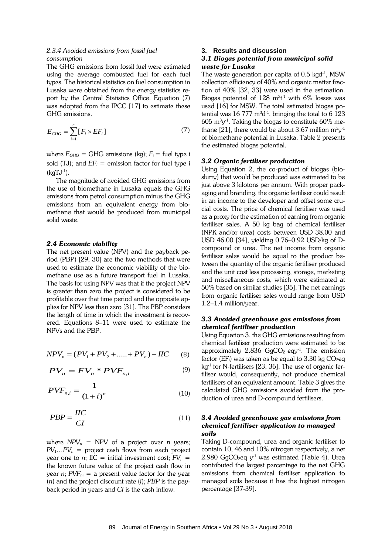# *2.3.4 Avoided emissions from fossil fuel consumption*

The GHG emissions from fossil fuel were estimated using the average combusted fuel for each fuel types. The historical statistics on fuel consumption in Lusaka were obtained from the energy statistics report by the Central Statistics Office. Equation (7) was adopted from the IPCC [17] to estimate these GHG emissions.

$$
E_{GHG} = \sum_{i=1}^{n} [F_i \times EF_i]
$$
 (7)

where  $E_{GHG}$  = GHG emissions (kg);  $F_i$  = fuel type i sold (TJ); and  $EF_i$  = emission factor for fuel type i (kgTJ-1 ).

The magnitude of avoided GHG emissions from the use of biomethane in Lusaka equals the GHG emissions from petrol consumption minus the GHG emissions from an equivalent energy from biomethane that would be produced from municipal solid waste.

#### *2.4 Economic viability*

The net present value (NPV) and the payback period (PBP) [29, 30] are the two methods that were used to estimate the economic viability of the biomethane use as a future transport fuel in Lusaka. The basis for using NPV was that if the project NPV is greater than zero the project is considered to be profitable over that time period and the opposite applies for NPV less than zero [31]. The PBP considers the length of time in which the investment is recovered. Equations 8–11 were used to estimate the NPVs and the PBP.

$$
NPV_n = (PV_1 + PV_2 + \dots + PV_n) - IIC \tag{8}
$$

$$
PV_n = FV_n * PVF_{n,i} \tag{9}
$$

$$
PVF_{n,i} = \frac{1}{\left(1+i\right)^n} \tag{10}
$$

$$
PBP = \frac{HC}{CI} \tag{11}
$$

where  $NPV_n$  = NPV of a project over *n* years;  $PV_1...PV_n$  = project cash flows from each project year one to *n*;  $\text{IIC} = \text{initial investment cost}$ ;  $\text{FV}_n =$ the known future value of the project cash flow in year *n*;  $PVF_{ni}$  = a present value factor for the year (*n*) and the project discount rate (*i*); *PBP* is the payback period in years and *CI* is the cash inflow.

#### **3. Results and discussion**

### *3.1 Biogas potential from municipal solid waste for Lusaka*

The waste generation per capita of 0.5 kgd-1 , MSW collection efficiency of 40% and organic matter fraction of 40% [32, 33] were used in the estimation. Biogas potential of  $128 \text{ m}^3$ t<sup>1</sup> with 6% losses was used [16] for MSW. The total estimated biogas potential was  $16\,777\ \mathrm{m^3d^{\text{-}1}},$  bringing the total to  $6\ 123$  $605 \; \rm m^3y^1$ . Taking the biogas to constitute  $60\%$  methane [21], there would be about 3.67 million  $\mathrm{m}^{3}\mathrm{y}^{\text{-}1}$ of biomethane potential in Lusaka. Table 2 presents the estimated biogas potential.

# *3.2 Organic fertiliser production*

Using Equation 2, the co-product of biogas (bioslurry) that would be produced was estimated to be just above 3 kilotons per annum. With proper packaging and branding, the organic fertiliser could result in an income to the developer and offset some crucial costs. The price of chemical fertiliser was used as a proxy for the estimation of earning from organic fertiliser sales. A 50 kg bag of chemical fertiliser (NPK and/or urea) costs between USD 38.00 and USD 46.00 [34], yielding 0.76–0.92 USD/kg of Dcompound or urea. The net income from organic fertiliser sales would be equal to the product between the quantity of the organic fertiliser produced and the unit cost less processing, storage, marketing and miscellaneous costs, which were estimated at 50% based on similar studies [35]. The net earnings from organic fertiliser sales would range from USD 1.2–1.4 million/year.

# *3.3 Avoided greenhouse gas emissions from chemical fertiliser production*

Using Equation 3, the GHG emissions resulting from chemical fertiliser production were estimated to be approximately 2.836  $GgCO<sub>2</sub>$  eqy<sup>-1</sup>. The emission factor (EF<sub>i</sub>) was taken as be equal to  $3.30$  kg  $CO<sub>2</sub>$ eq  $kg<sup>-1</sup>$  for N-fertilisers [23, 36]. The use of organic fertiliser would, consequently, not produce chemical fertilisers of an equivalent amount. Table 3 gives the calculated GHG emissions avoided from the production of urea and D-compound fertilisers.

# *3.4 Avoided greenhouse gas emissions from chemical fertiliser application to managed soils*

Taking D-compound, urea and organic fertiliser to contain 10, 46 and 10% nitrogen respectively, a net 2.980 GgCO<sub>2</sub>eq  $y<sup>-1</sup>$  was estimated (Table 4). Urea contributed the largest percentage to the net GHG emissions from chemical fertiliser application to managed soils because it has the highest nitrogen percentage [37-39].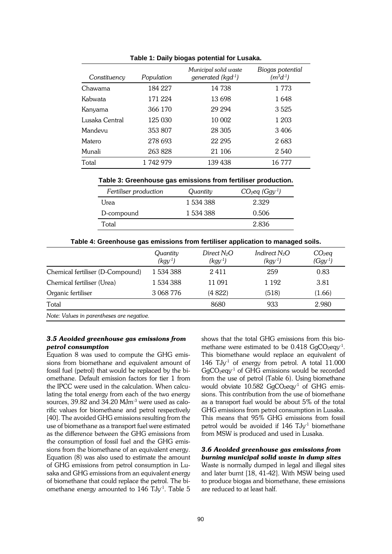| Constituency   | Population | Municipal solid waste<br>generated ( $kgd^{-1}$ ) | Biogas potential<br>$(m^3d^1)$ |
|----------------|------------|---------------------------------------------------|--------------------------------|
| Chawama        | 184 227    | 14 738                                            | 1 773                          |
| Kabwata        | 171 224    | 13698                                             | 1648                           |
| Kanyama        | 366 170    | 29 294                                            | 3525                           |
| Lusaka Central | 125 030    | 10 002                                            | 1 203                          |
| Mandevu        | 353 807    | 28 30 5                                           | 3406                           |
| Matero         | 278 693    | 22 295                                            | 2683                           |
| Munali         | 263828     | 21 10 6                                           | 2 5 4 0                        |
| Total          | 1742979    | 139 438                                           | 16 777                         |

**Table 1: Daily biogas potential for Lusaka.**

**Table 3: Greenhouse gas emissions from fertiliser production.**

| Fertiliser production | Quantity  | $CO2$ eq (Ggy <sup>-1</sup> ) |  |
|-----------------------|-----------|-------------------------------|--|
| l Jrea                | 1 534 388 | 2.329                         |  |
| D-compound            | 1 534 388 | 0.506                         |  |
| Total                 |           | 2.836                         |  |

|                                           | Quantitv<br>$(kgy-1)$ | Direct $N_2O$<br>$(kgy^{-1})$ | Indirect $N_2O$<br>$(kgy^{-1})$ | $CO2$ eq<br>$(Ggy-1)$ |  |  |  |  |
|-------------------------------------------|-----------------------|-------------------------------|---------------------------------|-----------------------|--|--|--|--|
| Chemical fertiliser (D-Compound)          | 1 534 388             | 2411                          | 259                             | 0.83                  |  |  |  |  |
| Chemical fertiliser (Urea)                | 1 534 388             | 11 091                        | 1 1 9 2                         | 3.81                  |  |  |  |  |
| Organic fertiliser                        | 3 068 776             | (4822)                        | (518)                           | (1.66)                |  |  |  |  |
| Total                                     |                       | 8680                          | 933                             | 2.980                 |  |  |  |  |
| Note: Values in parentheses are negative. |                       |                               |                                 |                       |  |  |  |  |

# *3.5 Avoided greenhouse gas emissions from petrol consumption*

Equation 8 was used to compute the GHG emissions from biomethane and equivalent amount of fossil fuel (petrol) that would be replaced by the biomethane. Default emission factors for tier 1 from the IPCC were used in the calculation. When calculating the total energy from each of the two energy sources, 39.82 and 34.20 MJm-3 were used as calorific values for biomethane and petrol respectively [40]. The avoided GHG emissions resulting from the use of biomethane as a transport fuel were estimated as the difference between the GHG emissions from the consumption of fossil fuel and the GHG emissions from the biomethane of an equivalent energy. Equation (8) was also used to estimate the amount of GHG emissions from petrol consumption in Lusaka and GHG emissions from an equivalent energy of biomethane that could replace the petrol. The biomethane energy amounted to 146 TJy<sup>-1</sup>. Table 5 shows that the total GHG emissions from this biomethane were estimated to be  $0.418 \text{ GgCO}_2 \text{eqy-1}.$ This biomethane would replace an equivalent of  $146$  TJy<sup>-1</sup> of energy from petrol. A total  $11.000$  $GgCO<sub>2</sub>$ eqy<sup>-1</sup> of GHG emissions would be recorded from the use of petrol (Table 6). Using biomethane would obviate  $10.582$  GgCO<sub>2</sub>eqy<sup>-1</sup> of GHG emissions. This contribution from the use of biomethane as a transport fuel would be about 5% of the total GHG emissions from petrol consumption in Lusaka. This means that 95% GHG emissions from fossil petrol would be avoided if 146 TJy<sup>-1</sup> biomethane from MSW is produced and used in Lusaka.

#### *3.6 Avoided greenhouse gas emissions from burning municipal solid waste in dump sites*

Waste is normally dumped in legal and illegal sites and later burnt [18, 41-42]. With MSW being used to produce biogas and biomethane, these emissions are reduced to at least half.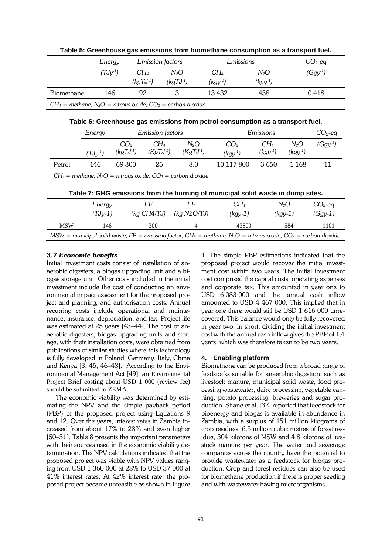|                                                                                                                                                    |                                   | <b>Emission factors</b><br>Energy |                         |                                                                                      | Emissions                       |                              | $CO2$ -eq              |                        |
|----------------------------------------------------------------------------------------------------------------------------------------------------|-----------------------------------|-----------------------------------|-------------------------|--------------------------------------------------------------------------------------|---------------------------------|------------------------------|------------------------|------------------------|
|                                                                                                                                                    | $(TJy^{-1})$                      |                                   | $CH_4$                  | $N_2O$                                                                               | $CH_4$                          | $N_2O$                       |                        | $(Ggy^{-1})$           |
|                                                                                                                                                    |                                   |                                   | $(kqTJ-1)$              | $(kgTJ^{-1})$                                                                        | $(kgy^{-1})$                    | $(kgy-1)$                    |                        |                        |
| Biomethane                                                                                                                                         | 146                               |                                   | 92                      | 3                                                                                    | 13 432                          | 438                          |                        | 0.418                  |
|                                                                                                                                                    |                                   |                                   |                         | $CH_4$ = methane, N <sub>2</sub> O = nitrous oxide, CO <sub>2</sub> = carbon dioxide |                                 |                              |                        |                        |
| Table 6: Greenhouse gas emissions from petrol consumption as a transport fuel.                                                                     |                                   |                                   |                         |                                                                                      |                                 |                              |                        |                        |
|                                                                                                                                                    | <b>Emission</b> factors<br>Energy |                                   |                         |                                                                                      |                                 | Emissions                    |                        |                        |
|                                                                                                                                                    | $(TJy^{-1})$                      | CO <sub>2</sub><br>$(kgTJ-1)$     | $CH_4$<br>$(KgTJ^{-1})$ | $N_2O$<br>$(KgTJ-1)$                                                                 | CO <sub>2</sub><br>$(kgy^{-1})$ | $CH_4$<br>$(kgy-1)$          | $N_2O$<br>$(kgy^{-1})$ | $(Ggy^{-1})$           |
| Petrol                                                                                                                                             | 146                               | 69 300                            | 25                      | 8.0                                                                                  | 10 117 800                      | 3650                         | 1 1 6 8                | 11                     |
|                                                                                                                                                    |                                   |                                   |                         | $CH_4$ = methane, N <sub>2</sub> O = nitrous oxide, CO <sub>2</sub> = carbon dioxide |                                 |                              |                        |                        |
| Table 7: GHG emissions from the burning of municipal solid waste in dump sites.                                                                    |                                   |                                   |                         |                                                                                      |                                 |                              |                        |                        |
|                                                                                                                                                    | Energy<br>$(TJy-1)$               |                                   | EF<br>(kq CH4/TJ)       | EF<br>(kq N2O/TJ)                                                                    |                                 | CH <sub>4</sub><br>$(kgy-1)$ | $N_2O$<br>$(kgy-1)$    | $CO2$ -eq<br>$(Ggy-1)$ |
| <b>MSW</b>                                                                                                                                         | 146                               |                                   | 300                     | $\overline{4}$                                                                       |                                 | 43800                        | 584                    | 1101                   |
| $MSW =$ municipal solid waste, EF = emission factor, CH <sub>4</sub> = methane, N <sub>2</sub> O = nitrous oxide, CO <sub>2</sub> = carbon dioxide |                                   |                                   |                         |                                                                                      |                                 |                              |                        |                        |

**Table 5: Greenhouse gas emissions from biomethane consumption as a transport fuel.**

# *3.7 Economic benefits*

Initial investment costs consist of installation of anaerobic digesters, a biogas upgrading unit and a biogas storage unit. Other costs included in the initial investment include the cost of conducting an environmental impact assessment for the proposed project and planning, and authorisation costs. Annual recurring costs include operational and maintenance, insurance, depreciation, and tax. Project life was estimated at 25 years [43–44]. The cost of anaerobic digesters, biogas upgrading units and storage, with their installation costs, were obtained from publications of similar studies where this technology is fully developed in Poland, Germany, Italy, China and Kenya [3, 45, 46–48]. According to the Environmental Management Act [49], an Environmental Project Brief costing about USD 1 000 (review fee) should be submitted to ZEMA.

The economic viability was determined by estimating the NPV and the simple payback period (PBP) of the proposed project using Equations 9 and 12. Over the years, interest rates in Zambia increased from about 17% to 28% and even higher [50–51]. Table 8 presents the important parameters with their sources used in the economic viability determination. The NPV calculations indicated that the proposed project was viable with NPV values ranging from USD 1 360 000 at 28% to USD 37 000 at 41% interest rates. At 42% interest rate, the proposed project became unfeasible as shown in Figure 1. The simple PBP estimations indicated that the proposed project would recover the initial investment cost within two years. The initial investment cost comprised the capital costs, operating expenses and corporate tax. This amounted in year one to USD 6 083 000 and the annual cash inflow amounted to USD 4 467 000. This implied that in year one there would still be USD 1 616 000 unrecovered. This balance would only be fully recovered in year two. In short, dividing the initial investment cost with the annual cash inflow gives the PBP of 1.4 years, which was therefore taken to be two years.

#### **4. Enabling platform**

Biomethane can be produced from a broad range of feedstocks suitable for anaerobic digestion, such as livestock manure, municipal solid waste, food processing wastewater, dairy processing, vegetable canning, potato processing, breweries and sugar production. Shane et al. [32] reported that feedstock for bioenergy and biogas is available in abundance in Zambia, with a surplus of 151 million kilograms of crop residues, 6.5 million cubic metres of forest residue, 304 kilotons of MSW and 4.8 kilotons of livestock manure per year. The water and sewerage companies across the country have the potential to provide wastewater as a feedstock for biogas production. Crop and forest residues can also be used for biomethane production if there is proper seeding and with wastewater having microorganisms.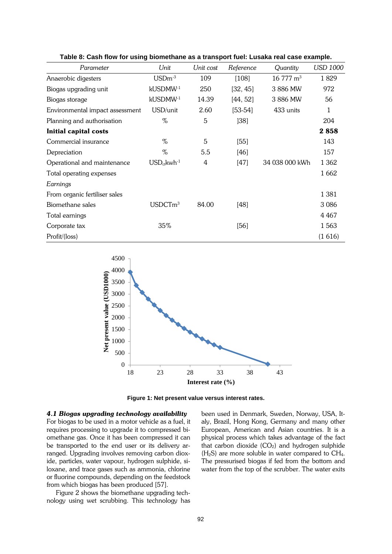| Parameter                       | Unit                 | Unit cost | Reference | Quantity                | <b>USD 1000</b> |
|---------------------------------|----------------------|-----------|-----------|-------------------------|-----------------|
| Anaerobic digesters             | $\text{USDm}^3$      | 109       | [108]     | $16\,777\,\mathrm{m}^3$ | 1829            |
| Biogas upgrading unit           | kUSDMW <sup>-1</sup> | 250       | [32, 45]  | 3886 MW                 | 972             |
| Biogas storage                  | kUSDMW-1             | 14.39     | [44, 52]  | 3886 MW                 | 56              |
| Environmental impact assessment | USD/unit             | 2.60      | $[53-54]$ | 433 units               | 1               |
| Planning and authorisation      | %                    | 5         | [38]      |                         | 204             |
| <b>Initial capital costs</b>    |                      |           |           |                         | 2858            |
| Commercial insurance            | %                    | 5         | $[55]$    |                         | 143             |
| Depreciation                    | %                    | 5.5       | [46]      |                         | 157             |
| Operational and maintenance     | $USD_{ct}kwh^{-1}$   | 4         | [47]      | 34 038 000 kWh          | 1 3 6 2         |
| Total operating expenses        |                      |           |           |                         | 1 6 6 2         |
| Earnings                        |                      |           |           |                         |                 |
| From organic fertiliser sales   |                      |           |           |                         | 1 3 8 1         |
| Biomethane sales                | USDCTm <sup>3</sup>  | 84.00     | [48]      |                         | 3 0 8 6         |
| Total earnings                  |                      |           |           |                         | 4 4 6 7         |
| Corporate tax                   | 35%                  |           | [56]      |                         | 1563            |
| Profit/(loss)                   |                      |           |           |                         | (1616)          |

**Table 8: Cash flow for using biomethane as a transport fuel: Lusaka real case example.**



**Figure 1: Net present value versus interest rates.**

# *4.1 Biogas upgrading technology availability*

For biogas to be used in a motor vehicle as a fuel, it requires processing to upgrade it to compressed biomethane gas. Once it has been compressed it can be transported to the end user or its delivery arranged. Upgrading involves removing carbon dioxide, particles, water vapour, hydrogen sulphide, siloxane, and trace gases such as ammonia, chlorine or fluorine compounds, depending on the feedstock from which biogas has been produced [57].

Figure 2 shows the biomethane upgrading technology using wet scrubbing. This technology has been used in Denmark, Sweden, Norway, USA, Italy, Brazil, Hong Kong, Germany and many other European, American and Asian countries. It is a physical process which takes advantage of the fact that carbon dioxide  $(CO_2)$  and hydrogen sulphide  $(H<sub>2</sub>S)$  are more soluble in water compared to CH<sub>4</sub>. The pressurised biogas if fed from the bottom and water from the top of the scrubber. The water exits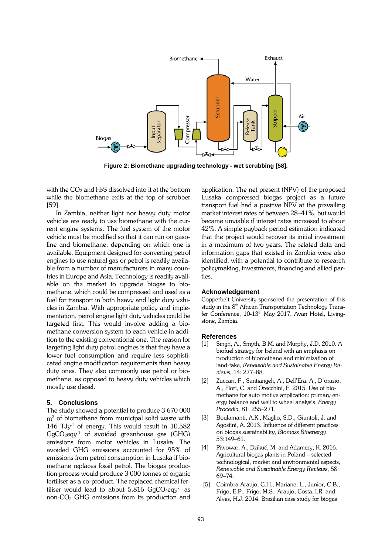

**Figure 2: Biomethane upgrading technology - wet scrubbing [58].**

with the  $CO<sub>2</sub>$  and  $H<sub>2</sub>S$  dissolved into it at the bottom while the biomethane exits at the top of scrubber [59].

In Zambia, neither light nor heavy duty motor vehicles are ready to use biomethane with the current engine systems. The fuel system of the motor vehicle must be modified so that it can run on gasoline and biomethane, depending on which one is available. Equipment designed for converting petrol engines to use natural gas or petrol is readily available from a number of manufacturers in many countries in Europe and Asia. Technology is readily available on the market to upgrade biogas to biomethane, which could be compressed and used as a fuel for transport in both heavy and light duty vehicles in Zambia. With appropriate policy and implementation, petrol engine light duty vehicles could be targeted first. This would involve adding a biomethane conversion system to each vehicle in addition to the existing conventional one. The reason for targeting light duty petrol engines is that they have a lower fuel consumption and require less sophisticated engine modification requirements than heavy duty ones. They also commonly use petrol or biomethane, as opposed to heavy duty vehicles which mostly use diesel.

# **5. Conclusions**

The study showed a potential to produce 3 670 000  $m<sup>3</sup>$  of biomethane from municipal solid waste with 146  $\text{Ty}^1$  of energy. This would result in 10.582  $GgCO<sub>2</sub>eqy<sup>-1</sup>$  of avoided greenhouse gas (GHG) emissions from motor vehicles in Lusaka. The avoided GHG emissions accounted for 95% of emissions from petrol consumption in Lusaka if biomethane replaces fossil petrol. The biogas production process would produce 3 000 tonnes of organic fertiliser as a co-product. The replaced chemical fertiliser would lead to about 5.816  $GgCO<sub>2</sub>eqy<sup>-1</sup>$  as non- $CO<sub>2</sub>$  GHG emissions from its production and application. The net present (NPV) of the proposed Lusaka compressed biogas project as a future transport fuel had a positive NPV at the prevailing market interest rates of between 28–41%, but would became unviable if interest rates increased to about 42%. A simple payback period estimation indicated that the project would recover its initial investment in a maximum of two years. The related data and information gaps that existed in Zambia were also identified, with a potential to contribute to research policymaking, investments, financing and allied parties.

#### **Acknowledgement**

Copperbelt University sponsored the presentation of this study in the 8<sup>th</sup> African Transportation Technology Transfer Conference, 10-13<sup>th</sup> May 2017, Avan Hotel, Livingstone, Zambia.

#### **References**

- [1] Singh, A., Smyth, B.M. and Murphy, J.D. 2010. A biofuel strategy for Ireland with an emphasis on production of biomethane and minimization of land-take, *Renewable and Sustainable Energy Reviews,* 14: 277–88.
- [2] Zuccari, F., Santiangeli, A., Dell'Era, A., D'orazio, A., Fiori, C. and Orecchini, F. 2015. Use of biomethane for auto motive application: primary energy balance and well to wheel analysis, *Energy Procedia*, 81: 255–271.
- [3] Boulamanti, A.K., Maglio, S.D., Giuntoli, J. and Agostini, A. 2013. Influence of different practices on biogas sustainability, *Biomass Bioenergy*, 53:149–61.
- [4] Piwowar, A., Dzikuć, M. and Adamczy, K. 2016. Agricultural biogas plants in Poland – selected technological, market and environmental aspects, *Renewable and Sustainable Energy Reviews*, 58: 69–74.
- [5] Coimbra-Araujo, C.H., Mariane, L., Junior, C.B., Frigo, E.P., Frigo, M.S., Araujo, Costa. I.R. and Alves, H.J. 2014. Brazilian case study for biogas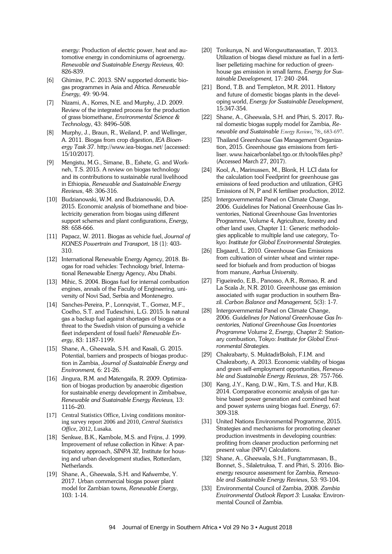energy: Production of electric power, heat and automotive energy in condominiums of agroenergy. *Renewable and Sustainable Energy Reviews,* 40: 826-839.

- [6] Ghimire, P.C. 2013. SNV supported domestic biogas programmes in Asia and Africa. *Renewable Energy,* 49: 90-94.
- [7] Nizami, A., Korres, N.E. and Murphy, J.D. 2009. Review of the integrated process for the production of grass biomethane, *Environmental Science & Technology*, 43: 8496–508.
- [8] Murphy, J., Braun, R., Weiland, P. and Wellinger, A. 2011. Biogas from crop digestion, *IEA Bioenergy Task 37*. http://www.iea-biogas.net/ [accessed: 15/10/2017].
- [9] Mengistu, M.G., Simane, B., Eshete, G. and Workneh, T.S. 2015. A review on biogas technology and its contributions to sustainable rural livelihood in Ethiopia, *Renewable and Sustainable Energy Reviews*, 48: 306-316.
- [10] Budzianowski, W.M. and Budzianowski, D.A. 2015. Economic analysis of biomethane and bioelectricity generation from biogas using different support schemes and plant configurations, *Energy,*  88: 658-666.
- [11] Papacz, W. 2011. Biogas as vehicle fuel, *Journal of KONES Powertrain and Transport*, 18 (1): 403- 310.
- [12] International Renewable Energy Agency, 2018. Biogas for road vehicles: Technology brief, International Renewable Energy Agency, Abu Dhabi.
- [13] Mihic, S. 2004. Biogas fuel for internal combustion engines, annals of the Faculty of Engineering, university of Novi Sad, Serbia and Montenegro.
- [14] Sanches-Pereira, P., Lonnqvist, T., Gomez, M.F., Coelho, S.T. and Tudeschini, L.G. 2015. Is natural gas a backup fuel against shortages of biogas or a threat to the Swedish vision of pursuing a vehicle fleet independent of fossil fuels? *Renewable Energy*, 83: 1187-1199.
- [15] Shane, A., Gheewala, S.H. and Kasali, G. 2015. Potential, barriers and prospects of biogas production in Zambia, *Journal of Sustainable Energy and Environment,* 6: 21-26.
- [16] Jingura, R.M. and Matengaifa, R. 2009. Optimization of biogas production by anaerobic digestion for sustainable energy development in Zimbabwe, *Renewable and Sustainable Energy Reviews,* 13: 1116–20.
- [17] Central Statistics Office, Living conditions monitoring survey report 2006 and 2010, *Central Statistics Office*, 2012, Lusaka.
- [18] Senkwe, B.K., Kambole, M.S. and Frijns, J. 1999. Improvement of refuse collection in Kitwe: A participatory approach, *SINPA 32,* Institute for housing and urban development studies, Rotterdam, Netherlands.
- [19] Shane, A., Gheewala, S.H. and Kafwembe, Y. 2017. Urban commercial biogas power plant model for Zambian towns, *Renewable Energy*, 103: 1-14.
- [20] Tonkunya, N. and Wongwuttanasatian, T. 2013. Utilization of biogas diesel mixture as fuel in a fertiliser pelletizing machine for reduction of greenhouse gas emission in small farms, *Energy for Sustainable Development,* 17: 240 -244.
- [21] Bond, T.B. and Templeton, M.R. 2011. History and future of domestic biogas plants in the developing world, *Energy for Sustainable Development*, 15:347-354.
- [22] Shane, A., Gheewala, S.H. and Phiri, S. 2017. Rural domestic biogas supply model for Zambia, *Renewable and Sustainable Energy Reviews*, 78:, 683-697.
- [23] Thailand Greenhouse Gas Management Organization, 2015. Greenhouse gas emissions from fertiliser. www.haicarbonlabel.tgo.or.th/tools/files.php? (Accessed March 27, 2017).
- [24] Kool, A., Marinussen, M., Blonk, H. LCI data for the calculation tool Feedprint for greenhouse gas emissions of feed production and utilization, GHG Emissions of N, P and K fertiliser production, 2012.
- [25] Intergovernmental Panel on Climate Change, 2006. Guidelines for National Greenhouse Gas Inventories, National Greenhouse Gas Inventories Programme, Volume 4, Agriculture, forestry and other land uses, Chapter 11: Generic methodologies applicable to multiple land use category, Tokyo: *Institute for Global Environmental Strategies*.
- [26] Elsgaard, L. 2010. Greenhouse Gas Emissions from cultivation of winter wheat and winter rapeseed for biofuels and from production of biogas from manure, *Aarhus University*.
- [27] Figueiredo, E.B., Panosso, A.R., Romao, R. and La Scala Jr, N.R. 2010. Greenhouse gas emission associated with sugar production in southern Brazil. *Carbon Balance and Management,* 5(3): 1-7.
- [28] Intergovernmental Panel on Climate Change, 2006. *Guidelines for National Greenhouse Gas Inventories, National Greenhouse Gas Inventories Programme* Volume 2, *Energy*, Chapter 2: Stationary combustion, Tokyo: *Institute for Global Environmental Strategies*.
- [29] Chakrabarty, S. MuktadirBoksh, F.I.M. and Chakraborty, A. 2013. Economic viability of biogas and green self-employment opportunities, *Renewable and Sustainable Energy Reviews*, 28: 757-766.
- [30] Kang, J.Y., Kang, D.W., Kim, T.S. and Hur, K.B. 2014. Comparative economic analysis of gas turbine based power generation and combined heat and power systems using biogas fuel. *Energy*, 67: 309-318.
- [31] United Nations Environmental Programme, 2015. Strategies and mechanisms for promoting cleaner production investments in developing countries: profiting from cleaner production performing net present value (NPV) Calculations.
- [32] Shane, A., Gheewala, S.H., Fungtammasan, B., Bonnet, S., Silaletruksa, T. and Phiri, S. 2016. Bioenergy resource assessment for Zambia, *Renewable and Sustainable Energy Reviews*, 53: 93-104.
- [33] Environmental Council of Zambia, 2008. *Zambia Environmental Outlook Report 3:* Lusaka*:* Environmental Council of Zambia.